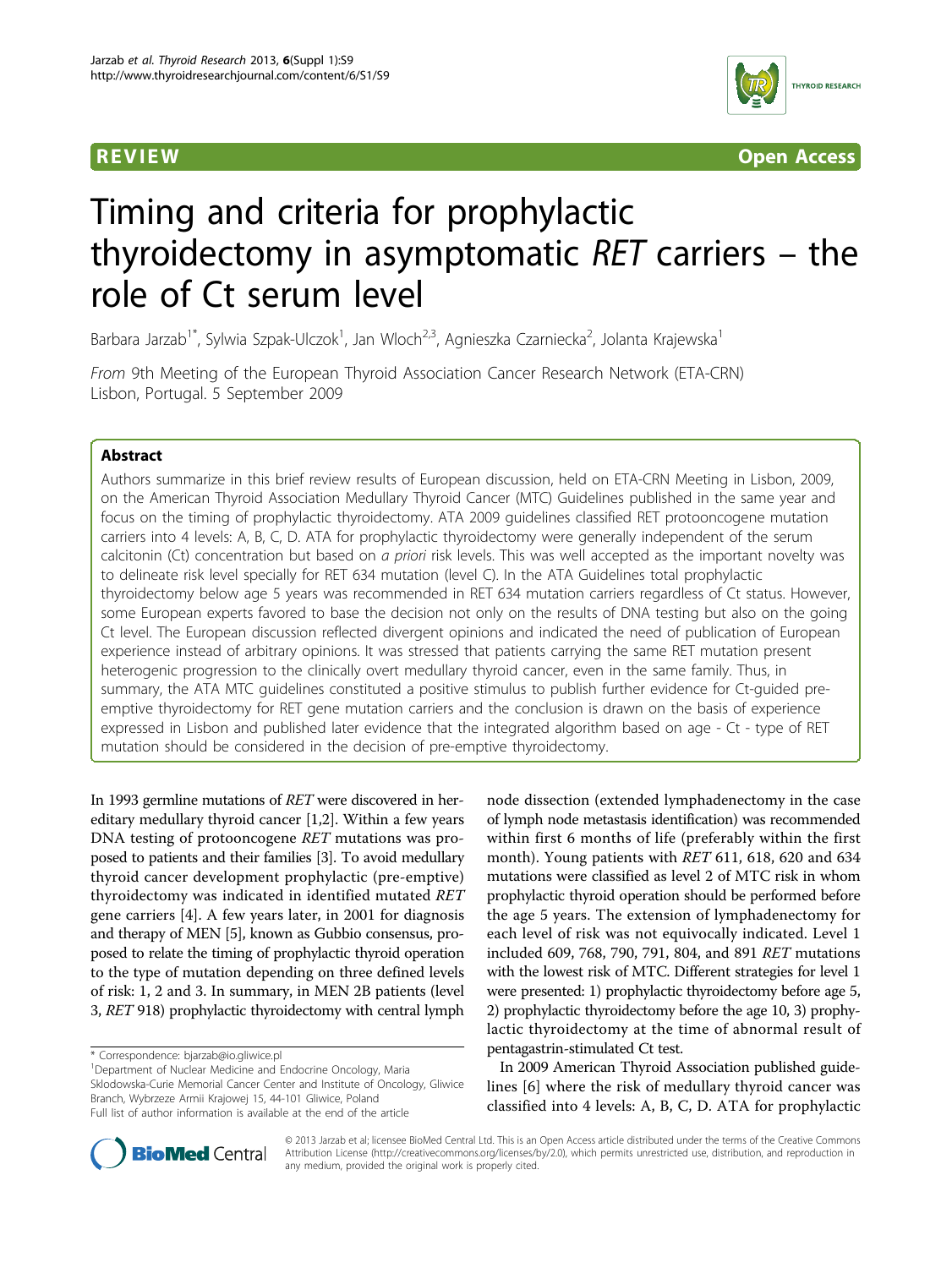

**REVIEW REVIEW CONSTRUCTER CONSTRUCTION** 

# Timing and criteria for prophylactic thyroidectomy in asymptomatic RET carriers – the role of Ct serum level

Barbara Jarzab<sup>1\*</sup>, Sylwia Szpak-Ulczok<sup>1</sup>, Jan Wloch<sup>2,3</sup>, Agnieszka Czarniecka<sup>2</sup>, Jolanta Krajewska<sup>1</sup>

From 9th Meeting of the European Thyroid Association Cancer Research Network (ETA-CRN) Lisbon, Portugal. 5 September 2009

# Abstract

Authors summarize in this brief review results of European discussion, held on ETA-CRN Meeting in Lisbon, 2009, on the American Thyroid Association Medullary Thyroid Cancer (MTC) Guidelines published in the same year and focus on the timing of prophylactic thyroidectomy. ATA 2009 guidelines classified RET protooncogene mutation carriers into 4 levels: A, B, C, D. ATA for prophylactic thyroidectomy were generally independent of the serum calcitonin (Ct) concentration but based on a priori risk levels. This was well accepted as the important novelty was to delineate risk level specially for RET 634 mutation (level C). In the ATA Guidelines total prophylactic thyroidectomy below age 5 years was recommended in RET 634 mutation carriers regardless of Ct status. However, some European experts favored to base the decision not only on the results of DNA testing but also on the going Ct level. The European discussion reflected divergent opinions and indicated the need of publication of European experience instead of arbitrary opinions. It was stressed that patients carrying the same RET mutation present heterogenic progression to the clinically overt medullary thyroid cancer, even in the same family. Thus, in summary, the ATA MTC guidelines constituted a positive stimulus to publish further evidence for Ct-guided preemptive thyroidectomy for RET gene mutation carriers and the conclusion is drawn on the basis of experience expressed in Lisbon and published later evidence that the integrated algorithm based on age - Ct - type of RET mutation should be considered in the decision of pre-emptive thyroidectomy.

In 1993 germline mutations of RET were discovered in hereditary medullary thyroid cancer [[1](#page-2-0),[2](#page-2-0)]. Within a few years DNA testing of protooncogene RET mutations was proposed to patients and their families [[3\]](#page-2-0). To avoid medullary thyroid cancer development prophylactic (pre-emptive) thyroidectomy was indicated in identified mutated RET gene carriers [[4\]](#page-2-0). A few years later, in 2001 for diagnosis and therapy of MEN [\[5\]](#page-2-0), known as Gubbio consensus, proposed to relate the timing of prophylactic thyroid operation to the type of mutation depending on three defined levels of risk: 1, 2 and 3. In summary, in MEN 2B patients (level 3, RET 918) prophylactic thyroidectomy with central lymph

<sup>1</sup>Department of Nuclear Medicine and Endocrine Oncology, Maria Sklodowska-Curie Memorial Cancer Center and Institute of Oncology, Gliwice Branch, Wybrzeze Armii Krajowej 15, 44-101 Gliwice, Poland Full list of author information is available at the end of the article

node dissection (extended lymphadenectomy in the case of lymph node metastasis identification) was recommended within first 6 months of life (preferably within the first month). Young patients with RET 611, 618, 620 and 634 mutations were classified as level 2 of MTC risk in whom prophylactic thyroid operation should be performed before the age 5 years. The extension of lymphadenectomy for each level of risk was not equivocally indicated. Level 1 included 609, 768, 790, 791, 804, and 891 RET mutations with the lowest risk of MTC. Different strategies for level 1 were presented: 1) prophylactic thyroidectomy before age 5, 2) prophylactic thyroidectomy before the age 10, 3) prophylactic thyroidectomy at the time of abnormal result of pentagastrin-stimulated Ct test.

In 2009 American Thyroid Association published guidelines [\[6](#page-2-0)] where the risk of medullary thyroid cancer was classified into 4 levels: A, B, C, D. ATA for prophylactic



© 2013 Jarzab et al; licensee BioMed Central Ltd. This is an Open Access article distributed under the terms of the Creative Commons Attribution License [\(http://creativecommons.org/licenses/by/2.0](http://creativecommons.org/licenses/by/2.0)), which permits unrestricted use, distribution, and reproduction in any medium, provided the original work is properly cited.

<sup>\*</sup> Correspondence: [bjarzab@io.gliwice.pl](mailto:bjarzab@io.gliwice.pl)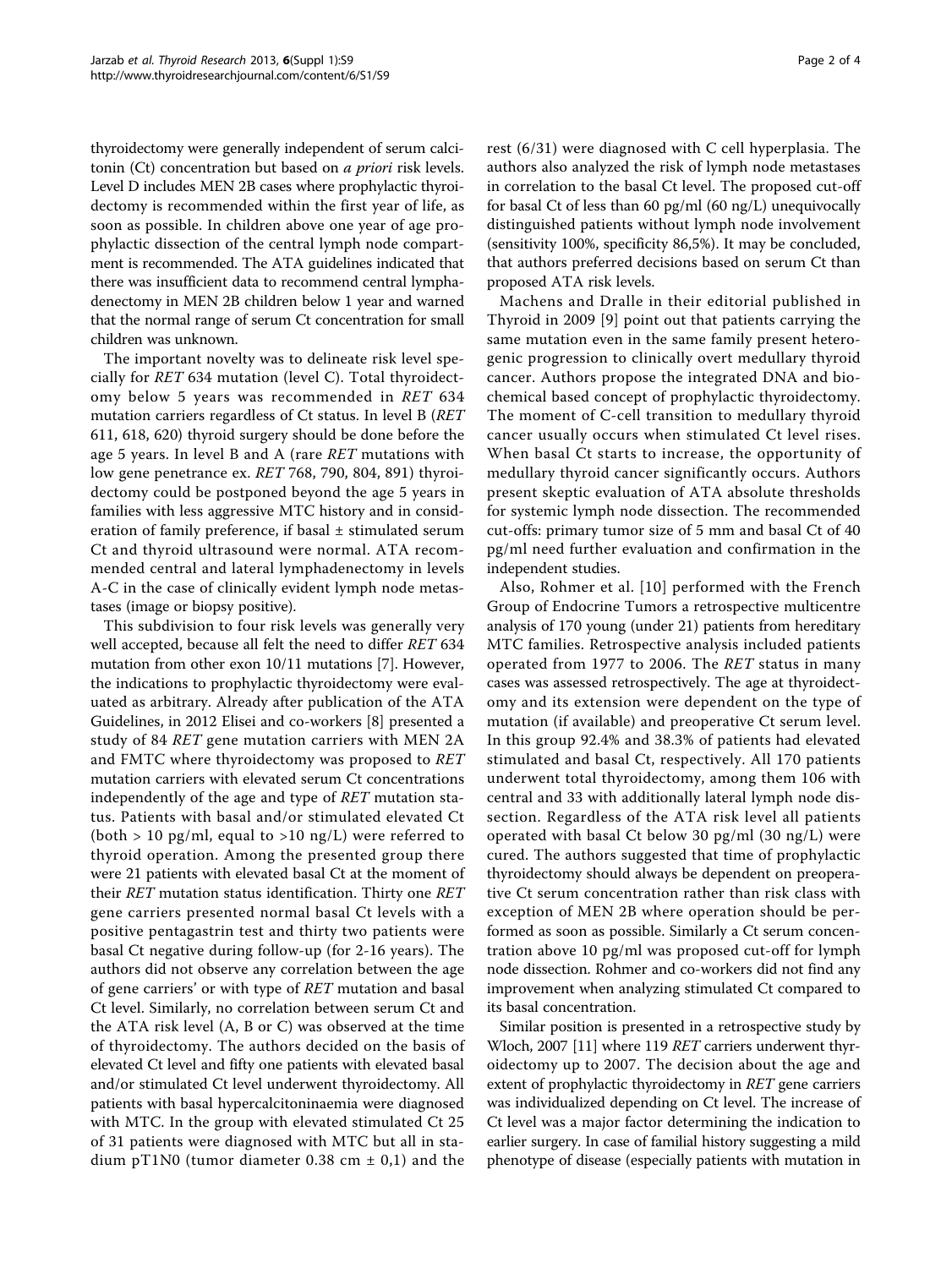thyroidectomy were generally independent of serum calcitonin (Ct) concentration but based on a priori risk levels. Level D includes MEN 2B cases where prophylactic thyroidectomy is recommended within the first year of life, as soon as possible. In children above one year of age prophylactic dissection of the central lymph node compartment is recommended. The ATA guidelines indicated that there was insufficient data to recommend central lymphadenectomy in MEN 2B children below 1 year and warned that the normal range of serum Ct concentration for small children was unknown.

The important novelty was to delineate risk level specially for RET 634 mutation (level C). Total thyroidectomy below 5 years was recommended in RET 634 mutation carriers regardless of Ct status. In level B (RET 611, 618, 620) thyroid surgery should be done before the age 5 years. In level B and A (rare RET mutations with low gene penetrance ex. RET 768, 790, 804, 891) thyroidectomy could be postponed beyond the age 5 years in families with less aggressive MTC history and in consideration of family preference, if basal ± stimulated serum Ct and thyroid ultrasound were normal. ATA recommended central and lateral lymphadenectomy in levels A-C in the case of clinically evident lymph node metastases (image or biopsy positive).

This subdivision to four risk levels was generally very well accepted, because all felt the need to differ RET 634 mutation from other exon 10/11 mutations [[7\]](#page-2-0). However, the indications to prophylactic thyroidectomy were evaluated as arbitrary. Already after publication of the ATA Guidelines, in 2012 Elisei and co-workers [[8](#page-2-0)] presented a study of 84 RET gene mutation carriers with MEN 2A and FMTC where thyroidectomy was proposed to RET mutation carriers with elevated serum Ct concentrations independently of the age and type of RET mutation status. Patients with basal and/or stimulated elevated Ct (both  $> 10$  pg/ml, equal to  $> 10$  ng/L) were referred to thyroid operation. Among the presented group there were 21 patients with elevated basal Ct at the moment of their RET mutation status identification. Thirty one RET gene carriers presented normal basal Ct levels with a positive pentagastrin test and thirty two patients were basal Ct negative during follow-up (for 2-16 years). The authors did not observe any correlation between the age of gene carriers' or with type of RET mutation and basal Ct level. Similarly, no correlation between serum Ct and the ATA risk level (A, B or C) was observed at the time of thyroidectomy. The authors decided on the basis of elevated Ct level and fifty one patients with elevated basal and/or stimulated Ct level underwent thyroidectomy. All patients with basal hypercalcitoninaemia were diagnosed with MTC. In the group with elevated stimulated Ct 25 of 31 patients were diagnosed with MTC but all in stadium pT1N0 (tumor diameter 0.38 cm  $\pm$  0,1) and the rest (6/31) were diagnosed with C cell hyperplasia. The authors also analyzed the risk of lymph node metastases in correlation to the basal Ct level. The proposed cut-off for basal Ct of less than 60 pg/ml (60 ng/L) unequivocally distinguished patients without lymph node involvement (sensitivity 100%, specificity 86,5%). It may be concluded, that authors preferred decisions based on serum Ct than proposed ATA risk levels.

Machens and Dralle in their editorial published in Thyroid in 2009 [[9](#page-2-0)] point out that patients carrying the same mutation even in the same family present heterogenic progression to clinically overt medullary thyroid cancer. Authors propose the integrated DNA and biochemical based concept of prophylactic thyroidectomy. The moment of C-cell transition to medullary thyroid cancer usually occurs when stimulated Ct level rises. When basal Ct starts to increase, the opportunity of medullary thyroid cancer significantly occurs. Authors present skeptic evaluation of ATA absolute thresholds for systemic lymph node dissection. The recommended cut-offs: primary tumor size of 5 mm and basal Ct of 40 pg/ml need further evaluation and confirmation in the independent studies.

Also, Rohmer et al. [[10](#page-2-0)] performed with the French Group of Endocrine Tumors a retrospective multicentre analysis of 170 young (under 21) patients from hereditary MTC families. Retrospective analysis included patients operated from 1977 to 2006. The RET status in many cases was assessed retrospectively. The age at thyroidectomy and its extension were dependent on the type of mutation (if available) and preoperative Ct serum level. In this group 92.4% and 38.3% of patients had elevated stimulated and basal Ct, respectively. All 170 patients underwent total thyroidectomy, among them 106 with central and 33 with additionally lateral lymph node dissection. Regardless of the ATA risk level all patients operated with basal Ct below 30 pg/ml (30 ng/L) were cured. The authors suggested that time of prophylactic thyroidectomy should always be dependent on preoperative Ct serum concentration rather than risk class with exception of MEN 2B where operation should be performed as soon as possible. Similarly a Ct serum concentration above 10 pg/ml was proposed cut-off for lymph node dissection. Rohmer and co-workers did not find any improvement when analyzing stimulated Ct compared to its basal concentration.

Similar position is presented in a retrospective study by Wloch, 2007 [\[11\]](#page-2-0) where 119 RET carriers underwent thyroidectomy up to 2007. The decision about the age and extent of prophylactic thyroidectomy in RET gene carriers was individualized depending on Ct level. The increase of Ct level was a major factor determining the indication to earlier surgery. In case of familial history suggesting a mild phenotype of disease (especially patients with mutation in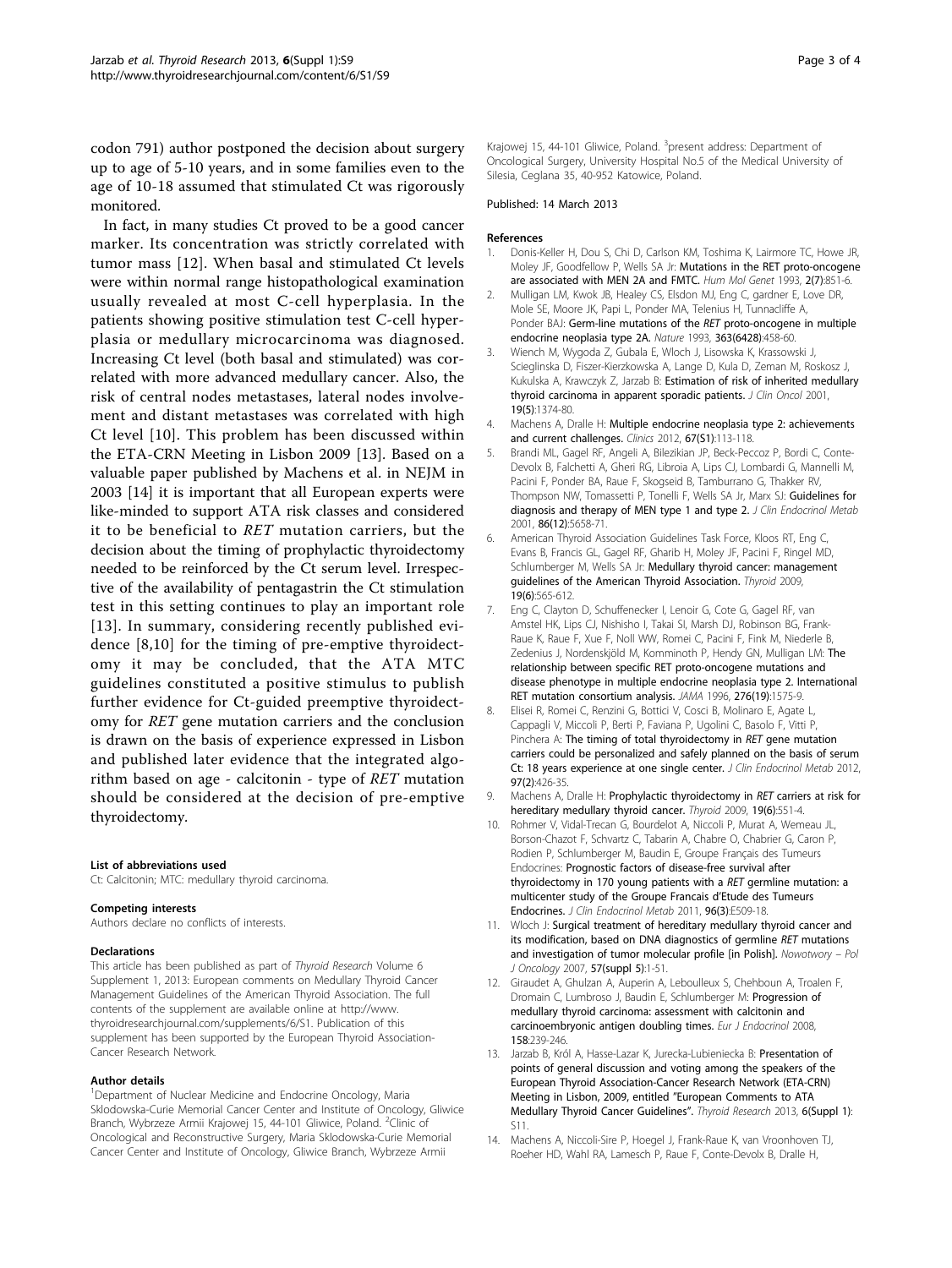<span id="page-2-0"></span>codon 791) author postponed the decision about surgery up to age of 5-10 years, and in some families even to the age of 10-18 assumed that stimulated Ct was rigorously monitored.

In fact, in many studies Ct proved to be a good cancer marker. Its concentration was strictly correlated with tumor mass [12]. When basal and stimulated Ct levels were within normal range histopathological examination usually revealed at most C-cell hyperplasia. In the patients showing positive stimulation test C-cell hyperplasia or medullary microcarcinoma was diagnosed. Increasing Ct level (both basal and stimulated) was correlated with more advanced medullary cancer. Also, the risk of central nodes metastases, lateral nodes involvement and distant metastases was correlated with high Ct level [10]. This problem has been discussed within the ETA-CRN Meeting in Lisbon 2009 [13]. Based on a valuable paper published by Machens et al. in NEJM in 2003 [14] it is important that all European experts were like-minded to support ATA risk classes and considered it to be beneficial to RET mutation carriers, but the decision about the timing of prophylactic thyroidectomy needed to be reinforced by the Ct serum level. Irrespective of the availability of pentagastrin the Ct stimulation test in this setting continues to play an important role [13]. In summary, considering recently published evidence [8,10] for the timing of pre-emptive thyroidectomy it may be concluded, that the ATA MTC guidelines constituted a positive stimulus to publish further evidence for Ct-guided preemptive thyroidectomy for RET gene mutation carriers and the conclusion is drawn on the basis of experience expressed in Lisbon and published later evidence that the integrated algorithm based on age - calcitonin - type of RET mutation should be considered at the decision of pre-emptive thyroidectomy.

#### List of abbreviations used

Ct: Calcitonin; MTC: medullary thyroid carcinoma.

#### Competing interests

Authors declare no conflicts of interests.

### Declarations

This article has been published as part of Thyroid Research Volume 6 Supplement 1, 2013: European comments on Medullary Thyroid Cancer Management Guidelines of the American Thyroid Association. The full contents of the supplement are available online at [http://www.](http://www.thyroidresearchjournal.com/supplements/6/S1) [thyroidresearchjournal.com/supplements/6/S1.](http://www.thyroidresearchjournal.com/supplements/6/S1) Publication of this supplement has been supported by the European Thyroid Association-Cancer Research Network.

#### Author details

<sup>1</sup>Department of Nuclear Medicine and Endocrine Oncology, Maria Sklodowska-Curie Memorial Cancer Center and Institute of Oncology, Gliwice Branch, Wybrzeze Armii Krajowej 15, 44-101 Gliwice, Poland. <sup>2</sup>Clinic of Oncological and Reconstructive Surgery, Maria Sklodowska-Curie Memorial Cancer Center and Institute of Oncology, Gliwice Branch, Wybrzeze Armii

Krajowej 15, 44-101 Gliwice, Poland. <sup>3</sup>present address: Department of Oncological Surgery, University Hospital No.5 of the Medical University of Silesia, Ceglana 35, 40-952 Katowice, Poland.

#### Published: 14 March 2013

#### References

- 1. Donis-Keller H, Dou S, Chi D, Carlson KM, Toshima K, Lairmore TC, Howe JR, Moley JF, Goodfellow P, Wells SA Jr: [Mutations in the RET proto-oncogene](http://www.ncbi.nlm.nih.gov/pubmed/8103403?dopt=Abstract) [are associated with MEN 2A and FMTC.](http://www.ncbi.nlm.nih.gov/pubmed/8103403?dopt=Abstract) Hum Mol Genet 1993, 2(7):851-6.
- 2. Mulligan LM, Kwok JB, Healey CS, Elsdon MJ, Eng C, gardner E, Love DR, Mole SE, Moore JK, Papi L, Ponder MA, Telenius H, Tunnacliffe A, Ponder BAJ: Germ-line mutations of the RET [proto-oncogene in multiple](http://www.ncbi.nlm.nih.gov/pubmed/8099202?dopt=Abstract) [endocrine neoplasia type 2A.](http://www.ncbi.nlm.nih.gov/pubmed/8099202?dopt=Abstract) Nature 1993, 363(6428):458-60.
- 3. Wiench M, Wygoda Z, Gubala E, Wloch J, Lisowska K, Krassowski J, Scieglinska D, Fiszer-Kierzkowska A, Lange D, Kula D, Zeman M, Roskosz J, Kukulska A, Krawczyk Z, Jarzab B: [Estimation of risk of inherited medullary](http://www.ncbi.nlm.nih.gov/pubmed/11230481?dopt=Abstract) [thyroid carcinoma in apparent sporadic patients.](http://www.ncbi.nlm.nih.gov/pubmed/11230481?dopt=Abstract) J Clin Oncol 2001, 19(5):1374-80.
- 4. Machens A, Dralle H: [Multiple endocrine neoplasia type 2: achievements](http://www.ncbi.nlm.nih.gov/pubmed/22584715?dopt=Abstract) [and current challenges.](http://www.ncbi.nlm.nih.gov/pubmed/22584715?dopt=Abstract) Clinics 2012, 67(S1):113-118.
- 5. Brandi ML, Gagel RF, Angeli A, Bilezikian JP, Beck-Peccoz P, Bordi C, Conte-Devolx B, Falchetti A, Gheri RG, Libroia A, Lips CJ, Lombardi G, Mannelli M, Pacini F, Ponder BA, Raue F, Skogseid B, Tamburrano G, Thakker RV, Thompson NW, Tomassetti P, Tonelli F, Wells SA Jr, Marx SJ: [Guidelines for](http://www.ncbi.nlm.nih.gov/pubmed/11739416?dopt=Abstract) [diagnosis and therapy of MEN type 1 and type 2.](http://www.ncbi.nlm.nih.gov/pubmed/11739416?dopt=Abstract) J Clin Endocrinol Metab 2001, 86(12):5658-71.
- 6. American Thyroid Association Guidelines Task Force, Kloos RT, Eng C, Evans B, Francis GL, Gagel RF, Gharib H, Moley JF, Pacini F, Ringel MD, Schlumberger M, Wells SA Jr: [Medullary thyroid cancer: management](http://www.ncbi.nlm.nih.gov/pubmed/19469690?dopt=Abstract) [guidelines of the American Thyroid Association.](http://www.ncbi.nlm.nih.gov/pubmed/19469690?dopt=Abstract) Thyroid 2009, 19(6):565-612.
- 7. Eng C, Clayton D, Schuffenecker I, Lenoir G, Cote G, Gagel RF, van Amstel HK, Lips CJ, Nishisho I, Takai SI, Marsh DJ, Robinson BG, Frank-Raue K, Raue F, Xue F, Noll WW, Romei C, Pacini F, Fink M, Niederle B, Zedenius J, Nordenskjöld M, Komminoth P, Hendy GN, Mulligan LM: [The](http://www.ncbi.nlm.nih.gov/pubmed/8918855?dopt=Abstract) [relationship between specific RET proto-oncogene mutations and](http://www.ncbi.nlm.nih.gov/pubmed/8918855?dopt=Abstract) [disease phenotype in multiple endocrine neoplasia type 2. International](http://www.ncbi.nlm.nih.gov/pubmed/8918855?dopt=Abstract) [RET mutation consortium analysis.](http://www.ncbi.nlm.nih.gov/pubmed/8918855?dopt=Abstract) JAMA 1996, 276(19):1575-9.
- 8. Elisei R, Romei C, Renzini G, Bottici V, Cosci B, Molinaro E, Agate L, Cappagli V, Miccoli P, Berti P, Faviana P, Ugolini C, Basolo F, Vitti P, Pinchera A: [The timing of total thyroidectomy in](http://www.ncbi.nlm.nih.gov/pubmed/22162466?dopt=Abstract) RET gene mutation [carriers could be personalized and safely planned on the basis of serum](http://www.ncbi.nlm.nih.gov/pubmed/22162466?dopt=Abstract) [Ct: 18 years experience at one single center.](http://www.ncbi.nlm.nih.gov/pubmed/22162466?dopt=Abstract) J Clin Endocrinol Metab 2012, 97(2):426-35.
- 9. Machens A, Dralle H: [Prophylactic thyroidectomy in](http://www.ncbi.nlm.nih.gov/pubmed/19499987?dopt=Abstract) RET carriers at risk for [hereditary medullary thyroid cancer.](http://www.ncbi.nlm.nih.gov/pubmed/19499987?dopt=Abstract) Thyroid 2009, 19(6):551-4.
- 10. Rohmer V, Vidal-Trecan G, Bourdelot A, Niccoli P, Murat A, Wemeau JL, Borson-Chazot F, Schvartz C, Tabarin A, Chabre O, Chabrier G, Caron P, Rodien P, Schlumberger M, Baudin E, Groupe Français des Tumeurs Endocrines: [Prognostic factors of disease-free survival after](http://www.ncbi.nlm.nih.gov/pubmed/21190982?dopt=Abstract) [thyroidectomy in 170 young patients with a](http://www.ncbi.nlm.nih.gov/pubmed/21190982?dopt=Abstract) RET germline mutation: a [multicenter study of the Groupe Francais d](http://www.ncbi.nlm.nih.gov/pubmed/21190982?dopt=Abstract)'Etude des Tumeurs [Endocrines.](http://www.ncbi.nlm.nih.gov/pubmed/21190982?dopt=Abstract) J Clin Endocrinol Metab 2011, 96(3):E509-18.
- 11. Wloch J: [Surgical treatment of hereditary medullary thyroid cancer and](http://www.ncbi.nlm.nih.gov/pubmed/2277780?dopt=Abstract) [its modification, based on DNA diagnostics of germline](http://www.ncbi.nlm.nih.gov/pubmed/2277780?dopt=Abstract) RET mutations [and investigation of tumor molecular profile \[in Polish\].](http://www.ncbi.nlm.nih.gov/pubmed/2277780?dopt=Abstract) Nowotwory - Pol J Oncology 2007, 57(suppl 5):1-51.
- 12. Giraudet A, Ghulzan A, Auperin A, Leboulleux S, Chehboun A, Troalen F, Dromain C, Lumbroso J, Baudin E, Schlumberger M: [Progression of](http://www.ncbi.nlm.nih.gov/pubmed/18230832?dopt=Abstract) [medullary thyroid carcinoma: assessment with calcitonin and](http://www.ncbi.nlm.nih.gov/pubmed/18230832?dopt=Abstract) [carcinoembryonic antigen doubling times.](http://www.ncbi.nlm.nih.gov/pubmed/18230832?dopt=Abstract) Eur J Endocrinol 2008, 158:239-246.
- 13. Jarzab B, Król A, Hasse-Lazar K, Jurecka-Lubieniecka B: Presentation of points of general discussion and voting among the speakers of the European Thyroid Association-Cancer Research Network (ETA-CRN) Meeting in Lisbon, 2009, entitled "European Comments to ATA Medullary Thyroid Cancer Guidelines". Thyroid Research 2013, 6(Suppl 1): S11.
- 14. Machens A, Niccoli-Sire P, Hoegel J, Frank-Raue K, van Vroonhoven TJ, Roeher HD, Wahl RA, Lamesch P, Raue F, Conte-Devolx B, Dralle H,